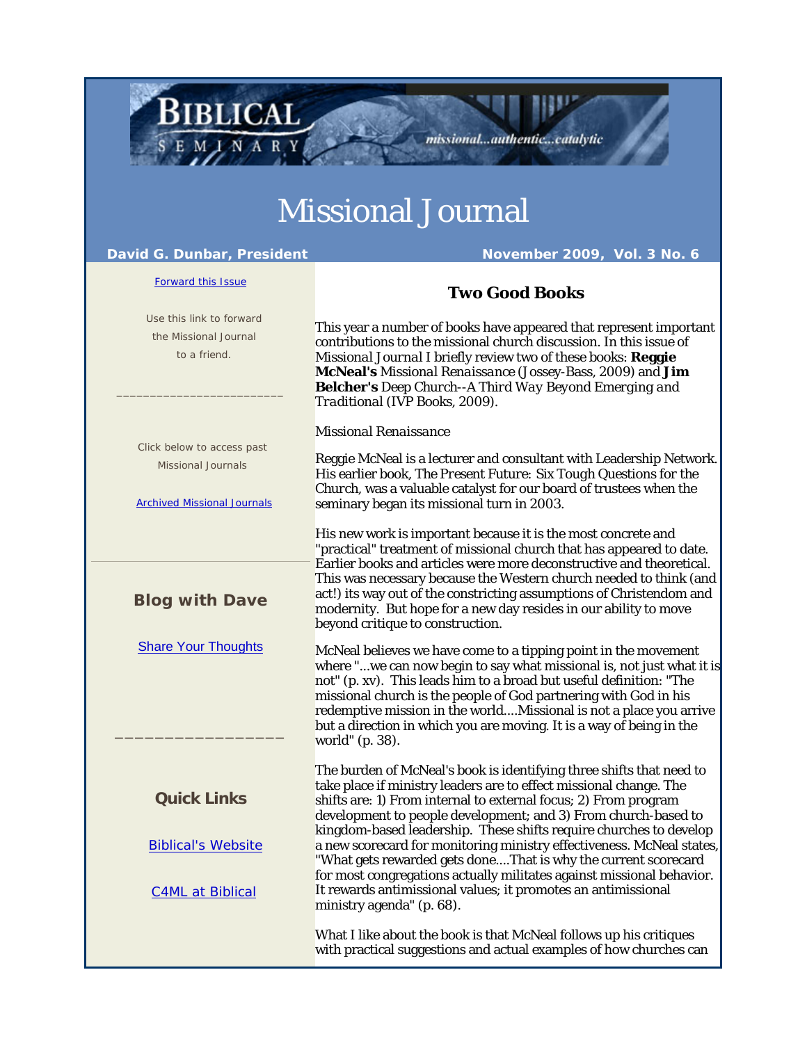## Missional Journal

e e

## David G. Dunbar, President November 2009, Vol. 3 No. 6

**BIBLICAL** 

SEMINARY

ш

missional...authentic...catalytic

| <b>Forward this Issue</b>                                                                     | <b>Two Good Books</b>                                                                                                                                                                                                                                                                                                                                                                                                                                |
|-----------------------------------------------------------------------------------------------|------------------------------------------------------------------------------------------------------------------------------------------------------------------------------------------------------------------------------------------------------------------------------------------------------------------------------------------------------------------------------------------------------------------------------------------------------|
| Use this link to forward<br>the Missional Journal<br>to a friend.                             | This year a number of books have appeared that represent important<br>contributions to the missional church discussion. In this issue of<br>Missional Journal I briefly review two of these books: Reggie<br>McNeal's Missional Renaissance (Jossey-Bass, 2009) and Jim<br><b>Belcher's</b> Deep Church--A Third Way Beyond Emerging and<br>Traditional (IVP Books, 2009).                                                                           |
|                                                                                               | Missional Renaissance                                                                                                                                                                                                                                                                                                                                                                                                                                |
| Click below to access past<br><b>Missional Journals</b><br><b>Archived Missional Journals</b> | Reggie McNeal is a lecturer and consultant with Leadership Network.<br>His earlier book, The Present Future: Six Tough Questions for the<br>Church, was a valuable catalyst for our board of trustees when the<br>seminary began its missional turn in 2003.                                                                                                                                                                                         |
|                                                                                               | His new work is important because it is the most concrete and<br>"practical" treatment of missional church that has appeared to date.<br>Earlier books and articles were more deconstructive and theoretical.                                                                                                                                                                                                                                        |
| <b>Blog with Dave</b>                                                                         | This was necessary because the Western church needed to think (and<br>act!) its way out of the constricting assumptions of Christendom and<br>modernity. But hope for a new day resides in our ability to move<br>beyond critique to construction.                                                                                                                                                                                                   |
| <b>Share Your Thoughts</b>                                                                    | McNeal believes we have come to a tipping point in the movement<br>where "we can now begin to say what missional is, not just what it is<br>not" (p. xv). This leads him to a broad but useful definition: "The<br>missional church is the people of God partnering with God in his<br>redemptive mission in the worldMissional is not a place you arrive<br>but a direction in which you are moving. It is a way of being in the<br>world" (p. 38). |
| <b>Quick Links</b>                                                                            | The burden of McNeal's book is identifying three shifts that need to<br>take place if ministry leaders are to effect missional change. The<br>shifts are: 1) From internal to external focus; 2) From program<br>development to people development; and 3) From church-based to                                                                                                                                                                      |
| <b>Biblical's Website</b>                                                                     | kingdom-based leadership. These shifts require churches to develop<br>a new scorecard for monitoring ministry effectiveness. McNeal states,<br>"What gets rewarded gets doneThat is why the current scorecard<br>for most congregations actually militates against missional behavior.                                                                                                                                                               |
| <b>C4ML at Biblical</b>                                                                       | It rewards antimissional values; it promotes an antimissional<br>ministry agenda" (p. 68).                                                                                                                                                                                                                                                                                                                                                           |
|                                                                                               | What I like about the book is that McNeal follows up his critiques<br>with practical suggestions and actual examples of how churches can                                                                                                                                                                                                                                                                                                             |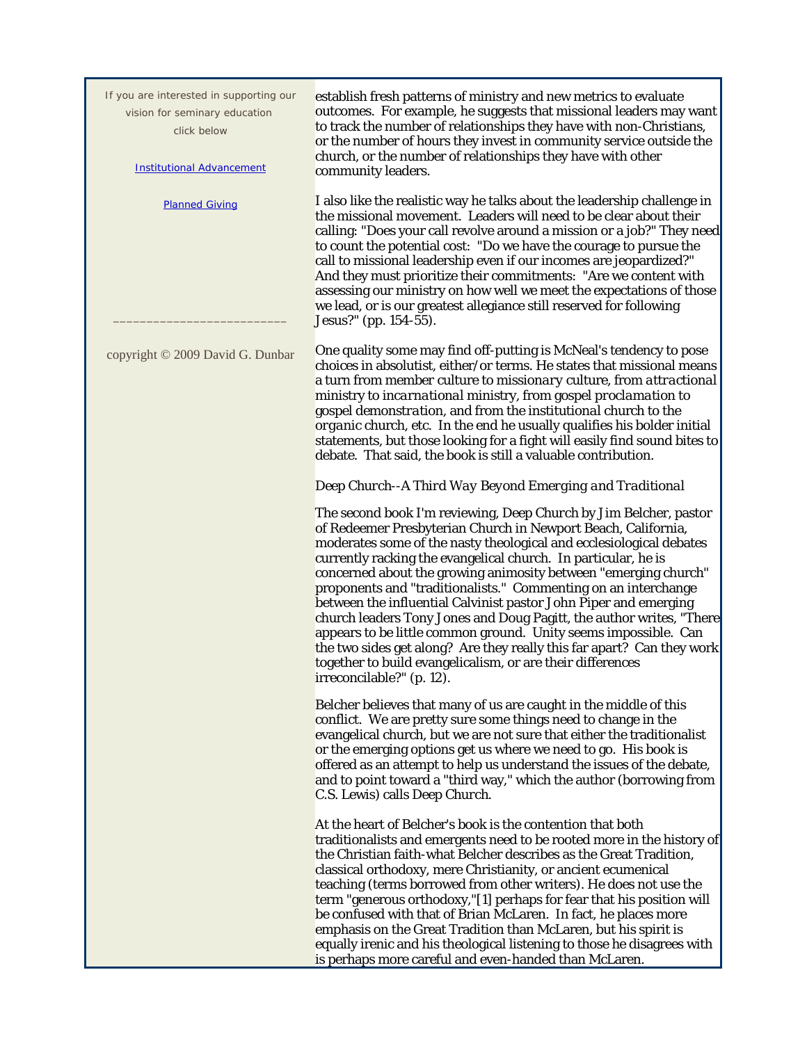| If you are interested in supporting our<br>vision for seminary education<br>click below<br><b>Institutional Advancement</b> | establish fresh patterns of ministry and new metrics to evaluate<br>outcomes. For example, he suggests that missional leaders may want<br>to track the number of relationships they have with non-Christians,<br>or the number of hours they invest in community service outside the<br>church, or the number of relationships they have with other<br>community leaders.                                                                                                                                                                                                                                                                                                                                                                                                                            |
|-----------------------------------------------------------------------------------------------------------------------------|------------------------------------------------------------------------------------------------------------------------------------------------------------------------------------------------------------------------------------------------------------------------------------------------------------------------------------------------------------------------------------------------------------------------------------------------------------------------------------------------------------------------------------------------------------------------------------------------------------------------------------------------------------------------------------------------------------------------------------------------------------------------------------------------------|
| <b>Planned Giving</b>                                                                                                       | I also like the realistic way he talks about the leadership challenge in<br>the missional movement. Leaders will need to be clear about their<br>calling: "Does your call revolve around a mission or a job?" They need<br>to count the potential cost: "Do we have the courage to pursue the<br>call to missional leadership even if our incomes are jeopardized?"<br>And they must prioritize their commitments: "Are we content with<br>assessing our ministry on how well we meet the expectations of those<br>we lead, or is our greatest allegiance still reserved for following<br>Jesus?" (pp. 154-55).                                                                                                                                                                                      |
| copyright © 2009 David G. Dunbar                                                                                            | One quality some may find off-putting is McNeal's tendency to pose<br>choices in absolutist, either/or terms. He states that missional means<br>a turn from <i>member</i> culture to <i>missionary</i> culture, from <i>attractional</i><br>ministry to <i>incarnational</i> ministry, from gospel <i>proclamation</i> to<br>gospel <i>demonstration</i> , and from the <i>institutional</i> church to the<br><i>organic</i> church, etc. In the end he usually qualifies his bolder initial<br>statements, but those looking for a fight will easily find sound bites to<br>debate. That said, the book is still a valuable contribution.                                                                                                                                                           |
|                                                                                                                             | Deep Church--A Third Way Beyond Emerging and Traditional                                                                                                                                                                                                                                                                                                                                                                                                                                                                                                                                                                                                                                                                                                                                             |
|                                                                                                                             | The second book I'm reviewing, Deep Church by Jim Belcher, pastor<br>of Redeemer Presbyterian Church in Newport Beach, California,<br>moderates some of the nasty theological and ecclesiological debates<br>currently racking the evangelical church. In particular, he is<br>concerned about the growing animosity between "emerging church"<br>proponents and "traditionalists." Commenting on an interchange<br>between the influential Calvinist pastor John Piper and emerging<br>church leaders Tony Jones and Doug Pagitt, the author writes, "There<br>appears to be little common ground. Unity seems impossible. Can<br>the two sides get along? Are they really this far apart? Can they work<br>together to build evangelicalism, or are their differences<br>irreconcilable?" (p. 12). |
|                                                                                                                             | Belcher believes that many of us are caught in the middle of this<br>conflict. We are pretty sure some things need to change in the<br>evangelical church, but we are not sure that either the traditionalist<br>or the emerging options get us where we need to go. His book is<br>offered as an attempt to help us understand the issues of the debate,<br>and to point toward a "third way," which the author (borrowing from<br>C.S. Lewis) calls Deep Church.                                                                                                                                                                                                                                                                                                                                   |
|                                                                                                                             | At the heart of Belcher's book is the contention that both<br>traditionalists and emergents need to be rooted more in the history of<br>the Christian faith-what Belcher describes as the Great Tradition,<br>classical orthodoxy, mere Christianity, or ancient ecumenical<br>teaching (terms borrowed from other writers). He does not use the<br>term "generous orthodoxy,"[1] perhaps for fear that his position will<br>be confused with that of Brian McLaren. In fact, he places more<br>emphasis on the Great Tradition than McLaren, but his spirit is<br>equally irenic and his theological listening to those he disagrees with<br>is perhaps more careful and even-handed than McLaren.                                                                                                  |